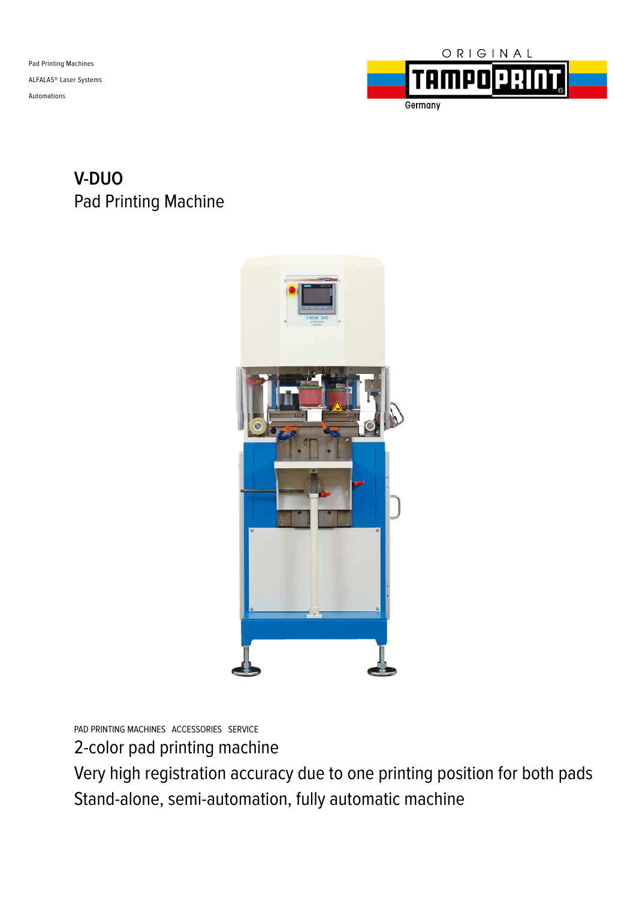Pad Printing Machines ALFALAS® Laser Systems Automations



## **V-DUO** Pad Printing Machine



PAD PRINTING MACHINES ACCESSORIES SERVICE

2-color pad printing machine

Very high registration accuracy due to one printing position for both pads Stand-alone, semi-automation, fully automatic machine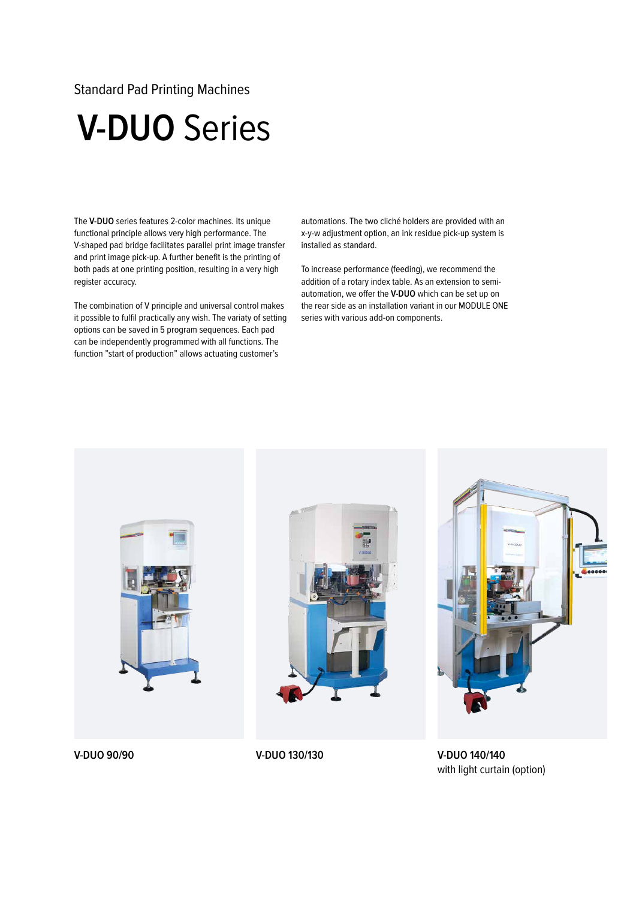## Standard Pad Printing Machines

## **V-DUO** Series

The **V-DUO** series features 2-color machines. Its unique functional principle allows very high performance. The V-shaped pad bridge facilitates parallel print image transfer and print image pick-up. A further benefit is the printing of both pads at one printing position, resulting in a very high register accuracy.

The combination of V principle and universal control makes it possible to fulfil practically any wish. The variaty of setting options can be saved in 5 program sequences. Each pad can be independently programmed with all functions. The function "start of production" allows actuating customer's

automations. The two cliché holders are provided with an x-y-w adjustment option, an ink residue pick-up system is installed as standard.

To increase performance (feeding), we recommend the addition of a rotary index table. As an extension to semiautomation, we offer the **V-DUO** which can be set up on the rear side as an installation variant in our MODULE ONE series with various add-on components.



**V-DUO 140/140** with light curtain (option)

**V-DUO 90/90 V-DUO 130/130**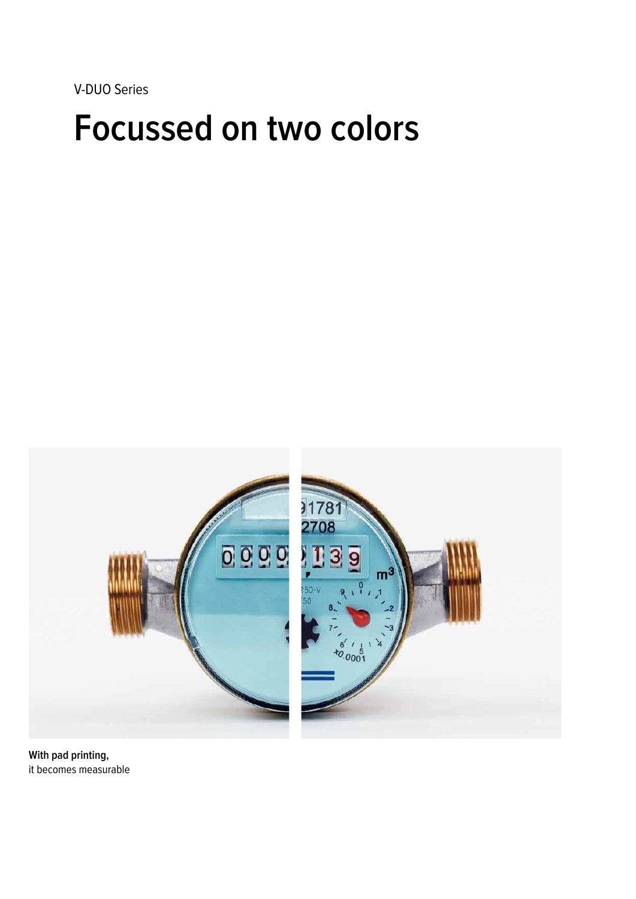V-DUO Series

# **Focussed on two colors**



**With pad printing,** it becomes measurable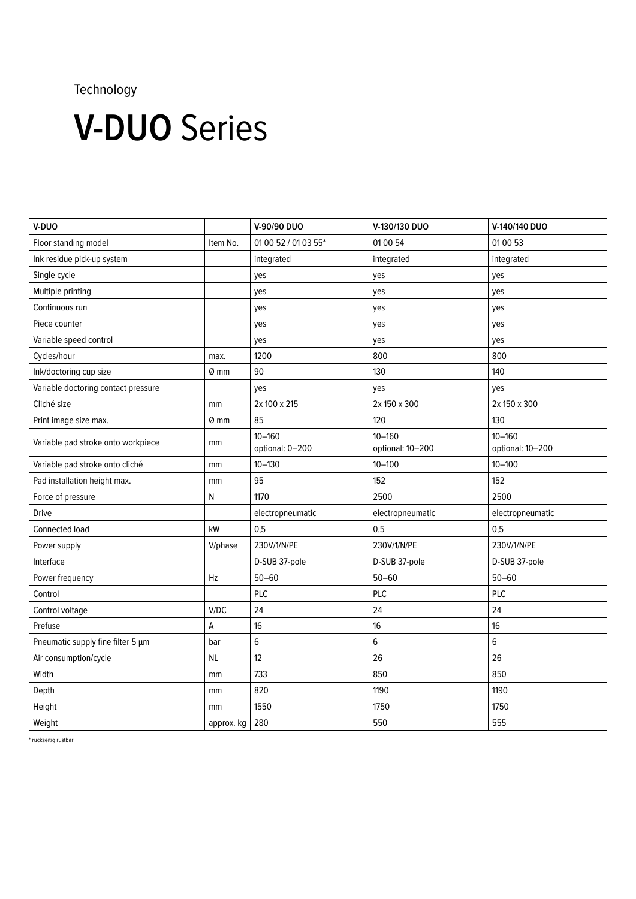## Technology

# **V-DUO** Series

| V-DUO                               |            | V-90/90 DUO                   | V-130/130 DUO                  | V-140/140 DUO                  |
|-------------------------------------|------------|-------------------------------|--------------------------------|--------------------------------|
| Floor standing model                | Item No.   | 01 00 52 / 01 03 55*          | 01 00 54                       | 01 00 53                       |
| Ink residue pick-up system          |            | integrated                    | integrated                     | integrated                     |
| Single cycle                        |            | yes                           | yes                            | yes                            |
| Multiple printing                   |            | yes                           | yes                            | yes                            |
| Continuous run                      |            | yes                           | yes                            | yes                            |
| Piece counter                       |            | yes                           | yes                            | yes                            |
| Variable speed control              |            | yes                           | yes                            | yes                            |
| Cycles/hour                         | max.       | 1200                          | 800                            | 800                            |
| Ink/doctoring cup size              | $Ø$ mm     | 90                            | 130                            | 140                            |
| Variable doctoring contact pressure |            | yes                           | yes                            | yes                            |
| Cliché size                         | mm         | 2x 100 x 215                  | 2x 150 x 300                   | 2x 150 x 300                   |
| Print image size max.               | Ø mm       | 85                            | 120                            | 130                            |
| Variable pad stroke onto workpiece  | mm         | $10 - 160$<br>optional: 0-200 | $10 - 160$<br>optional: 10-200 | $10 - 160$<br>optional: 10-200 |
| Variable pad stroke onto cliché     | mm         | $10 - 130$                    | $10 - 100$                     | $10 - 100$                     |
| Pad installation height max.        | mm         | 95                            | 152                            | 152                            |
| Force of pressure                   | N          | 1170                          | 2500                           | 2500                           |
| <b>Drive</b>                        |            | electropneumatic              | electropneumatic               | electropneumatic               |
| Connected load                      | kW         | 0,5                           | 0,5                            | 0,5                            |
| Power supply                        | V/phase    | 230V/1/N/PE                   | 230V/1/N/PE                    | 230V/1/N/PE                    |
| Interface                           |            | D-SUB 37-pole                 | D-SUB 37-pole                  | D-SUB 37-pole                  |
| Power frequency                     | Hz         | $50 - 60$                     | $50 - 60$                      | $50 - 60$                      |
| Control                             |            | PLC                           | <b>PLC</b>                     | PLC                            |
| Control voltage                     | V/DC       | 24                            | 24                             | 24                             |
| Prefuse                             | А          | 16                            | 16                             | 16                             |
| Pneumatic supply fine filter 5 µm   | bar        | $6\phantom{1}6$               | 6                              | $\,6$                          |
| Air consumption/cycle               | <b>NL</b>  | 12                            | 26                             | 26                             |
| Width                               | mm         | 733                           | 850                            | 850                            |
| Depth                               | mm         | 820                           | 1190                           | 1190                           |
| Height                              | mm         | 1550                          | 1750                           | 1750                           |
| Weight                              | approx. kg | 280                           | 550                            | 555                            |

\* rückseitig rüstbar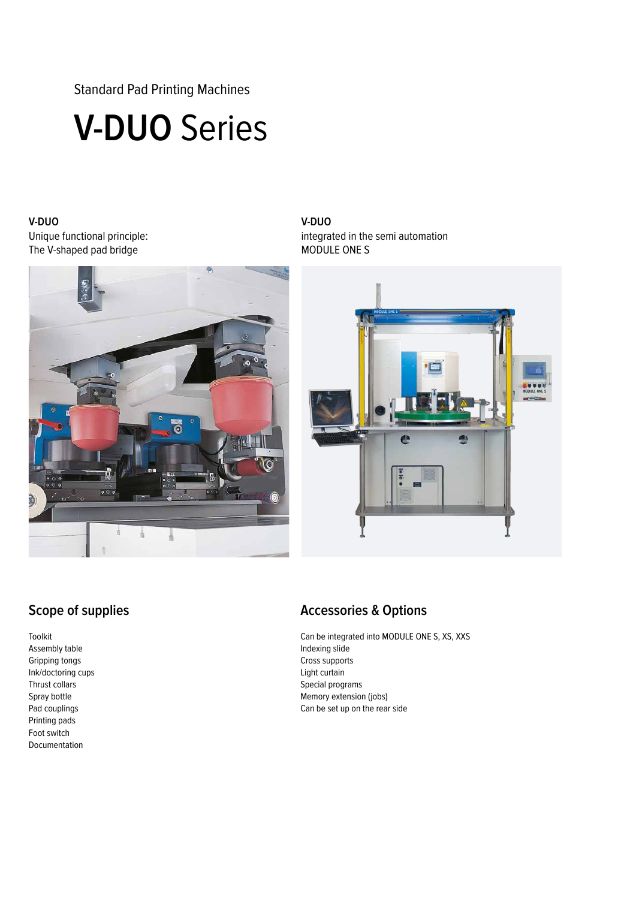Standard Pad Printing Machines

# **V-DUO** Series

#### **V-DUO**  Unique functional principle: The V-shaped pad bridge



#### **V-DUO** integrated in the semi automation MODULE ONE S



## **Scope of supplies**

Toolkit Assembly table Gripping tongs Ink/doctoring cups Thrust collars Spray bottle Pad couplings Printing pads Foot switch Documentation

### **Accessories & Options**

Can be integrated into MODULE ONE S, XS, XXS Indexing slide Cross supports Light curtain Special programs Memory extension (jobs) Can be set up on the rear side